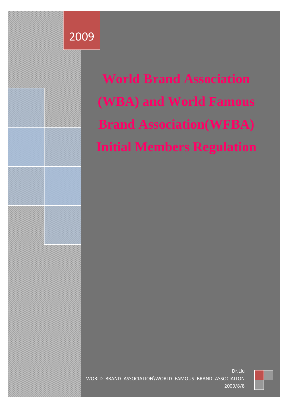

**World Brand Association (WBA) and World Famous Brand Association(WFBA) Initial Members Regulation**



Dr.Liu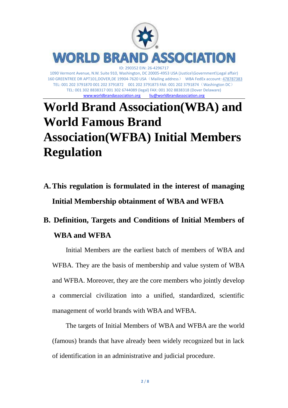

## www.worldbrandassociation.org liu@worldbrandassociation.org **World Brand Association(WBA) and World Famous Brand Association(WFBA) Initial Members Regulation**

TEL: 001 302 8838317 001 302 6744089 (legal) FAX: 001 302 8838318 (Dover Delaware)

**A.This regulation is formulated in the interest of managing Initial Membership obtainment of WBA and WFBA**

## **B. Definition, Targets and Conditions of Initial Members of WBA and WFBA**

Initial Members are the earliest batch of members of WBA and WFBA. They are the basis of membership and value system of WBA and WFBA. Moreover, they are the core members who jointly develop a commercial civilization into a unified, standardized, scientific management of world brands with WBA and WFBA.

The targets of Initial Members of WBA and WFBA are the world (famous) brands that have already been widely recognized but in lack of identification in an administrative and judicial procedure.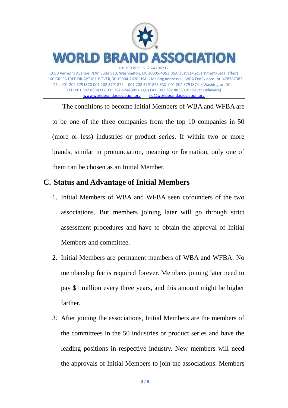

The conditions to become Initial Members of WBA and WFBA are to be one of the three companies from the top 10 companies in 50 (more or less) industries or product series. If within two or more brands, similar in pronunciation, meaning or formation, only one of them can be chosen as an Initial Member.

## **C. Status and Advantage of Initial Members**

- 1. Initial Members of WBA and WFBA seen cofounders of the two associations. But members joining later will go through strict assessment procedures and have to obtain the approval of Initial Members and committee.
- 2. Initial Members are permanent members of WBA and WFBA. No membership fee is required forever. Members joining later need to pay \$1 million every three years, and this amount might be higher farther.
- 3. After joining the associations, Initial Members are the members of the committees in the 50 industries or product series and have the leading positions in respective industry. New members will need the approvals of Initial Members to join the associations. Members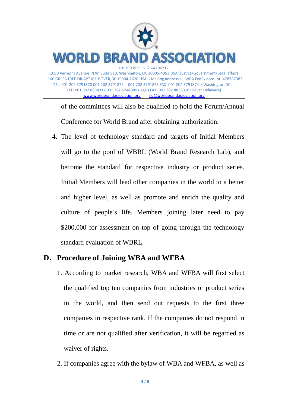

of the committees will also be qualified to hold the Forum/Annual Conference for World Brand after obtaining authorization.

4. The level of technology standard and targets of Initial Members will go to the pool of WBRL (World Brand Research Lab), and become the standard for respective industry or product series. Initial Members will lead other companies in the world to a better and higher level, as well as promote and enrich the quality and culture of people's life. Members joining later need to pay \$200,000 for assessment on top of going through the technology standard evaluation of WBRL.

## **D**.**Procedure of Joining WBA and WFBA**

- 1. According to market research, WBA and WFBA will first select the qualified top ten companies from industries or product series in the world, and then send out requests to the first three companies in respective rank. If the companies do not respond in time or are not qualified after verification, it will be regarded as waiver of rights.
- 2. If companies agree with the bylaw of WBA and WFBA, as well as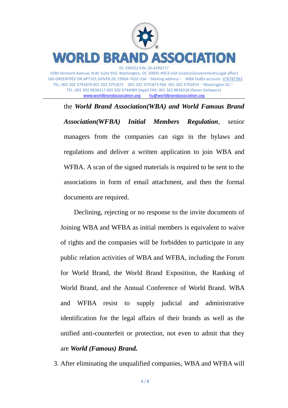

www.worldbrandassociation.org

the *World Brand Association(WBA) and World Famous Brand Association(WFBA) Initial Members Regulation*, senior managers from the companies can sign in the bylaws and regulations and deliver a written application to join WBA and WFBA. A scan of the signed materials is required to be sent to the associations in form of email attachment, and then the formal documents are required.

Declining, rejecting or no response to the invite documents of Joining WBA and WFBA as initial members is equivalent to waive of rights and the companies will be forbidden to participate in any public relation activities of WBA and WFBA, including the Forum for World Brand, the World Brand Exposition, the Ranking of World Brand, and the Annual Conference of World Brand. WBA and WFBA resist to supply judicial and administrative identification for the legal affairs of their brands as well as the unified anti-counterfeit or protection, not even to admit that they are *World (Famous) Brand.*

3. After eliminating the unqualified companies, WBA and WFBA will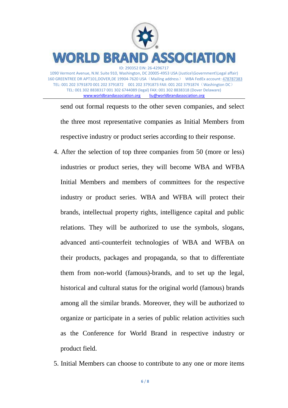

send out formal requests to the other seven companies, and select the three most representative companies as Initial Members from respective industry or product series according to their response.

- 4. After the selection of top three companies from 50 (more or less) industries or product series, they will become WBA and WFBA Initial Members and members of committees for the respective industry or product series. WBA and WFBA will protect their brands, intellectual property rights, intelligence capital and public relations. They will be authorized to use the symbols, slogans, advanced anti-counterfeit technologies of WBA and WFBA on their products, packages and propaganda, so that to differentiate them from non-world (famous)-brands, and to set up the legal, historical and cultural status for the original world (famous) brands among all the similar brands. Moreover, they will be authorized to organize or participate in a series of public relation activities such as the Conference for World Brand in respective industry or product field.
- 5. Initial Members can choose to contribute to any one or more items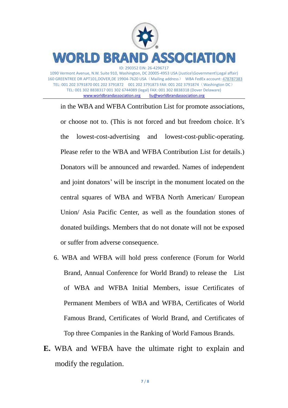

www.worldbrandassociation.org liu@worldbrandassociation.org

in the WBA and WFBA Contribution List for promote associations, or choose not to. (This is not forced and but freedom choice. It's the lowest-cost-advertising and lowest-cost-public-operating. Please refer to the WBA and WFBA Contribution List for details.) Donators will be announced and rewarded. Names of independent and joint donators' will be inscript in the monument located on the central squares of WBA and WFBA North American/ European Union/ Asia Pacific Center, as well as the foundation stones of donated buildings. Members that do not donate will not be exposed or suffer from adverse consequence.

- 6. WBA and WFBA will hold press conference (Forum for World Brand, Annual Conference for World Brand) to release the List of WBA and WFBA Initial Members, issue Certificates of Permanent Members of WBA and WFBA, Certificates of World Famous Brand, Certificates of World Brand, and Certificates of Top three Companies in the Ranking of World Famous Brands.
- **E.** WBA and WFBA have the ultimate right to explain and modify the regulation.